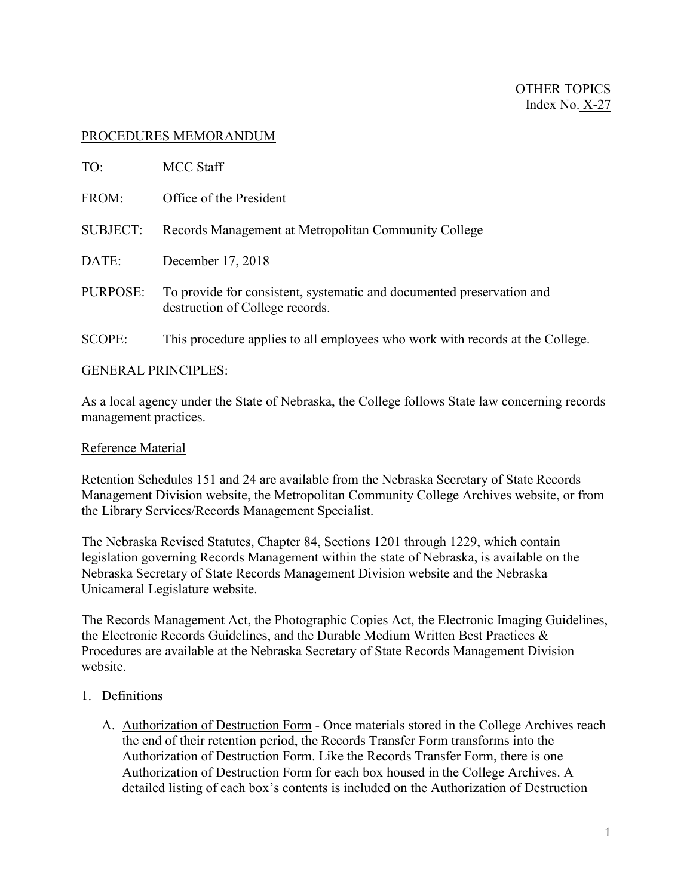# PROCEDURES MEMORANDUM

| TO:             | <b>MCC Staff</b>                                                                                         |
|-----------------|----------------------------------------------------------------------------------------------------------|
| FROM:           | Office of the President                                                                                  |
| <b>SUBJECT:</b> | Records Management at Metropolitan Community College                                                     |
| DATE:           | December 17, 2018                                                                                        |
| PURPOSE:        | To provide for consistent, systematic and documented preservation and<br>destruction of College records. |
| <b>SCOPE:</b>   | This procedure applies to all employees who work with records at the College.                            |

### GENERAL PRINCIPLES:

As a local agency under the State of Nebraska, the College follows State law concerning records management practices.

### Reference Material

Retention Schedules 151 and 24 are available from the Nebraska Secretary of State Records Management Division website, the Metropolitan Community College Archives website, or from the Library Services/Records Management Specialist.

The Nebraska Revised Statutes, Chapter 84, Sections 1201 through 1229, which contain legislation governing Records Management within the state of Nebraska, is available on the Nebraska Secretary of State Records Management Division website and the Nebraska Unicameral Legislature website.

The Records Management Act, the Photographic Copies Act, the Electronic Imaging Guidelines, the Electronic Records Guidelines, and the Durable Medium Written Best Practices & Procedures are available at the Nebraska Secretary of State Records Management Division website.

# 1. Definitions

A. Authorization of Destruction Form - Once materials stored in the College Archives reach the end of their retention period, the Records Transfer Form transforms into the Authorization of Destruction Form. Like the Records Transfer Form, there is one Authorization of Destruction Form for each box housed in the College Archives. A detailed listing of each box's contents is included on the Authorization of Destruction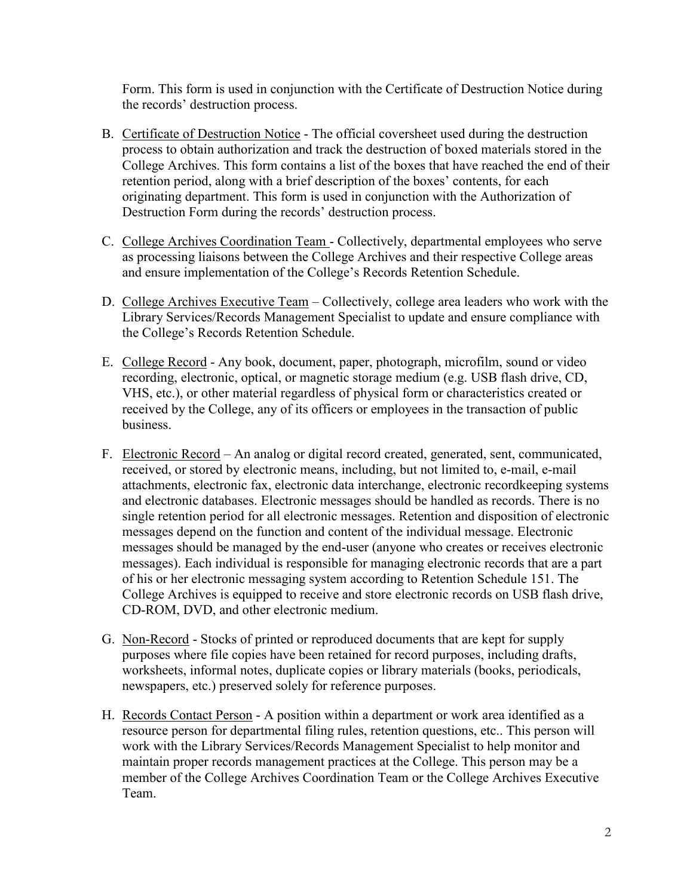Form. This form is used in conjunction with the Certificate of Destruction Notice during the records' destruction process.

- B. Certificate of Destruction Notice The official coversheet used during the destruction process to obtain authorization and track the destruction of boxed materials stored in the College Archives. This form contains a list of the boxes that have reached the end of their retention period, along with a brief description of the boxes' contents, for each originating department. This form is used in conjunction with the Authorization of Destruction Form during the records' destruction process.
- C. College Archives Coordination Team Collectively, departmental employees who serve as processing liaisons between the College Archives and their respective College areas and ensure implementation of the College's Records Retention Schedule.
- D. College Archives Executive Team Collectively, college area leaders who work with the Library Services/Records Management Specialist to update and ensure compliance with the College's Records Retention Schedule.
- E. College Record Any book, document, paper, photograph, microfilm, sound or video recording, electronic, optical, or magnetic storage medium (e.g. USB flash drive, CD, VHS, etc.), or other material regardless of physical form or characteristics created or received by the College, any of its officers or employees in the transaction of public business.
- F. Electronic Record An analog or digital record created, generated, sent, communicated, received, or stored by electronic means, including, but not limited to, e-mail, e-mail attachments, electronic fax, electronic data interchange, electronic recordkeeping systems and electronic databases. Electronic messages should be handled as records. There is no single retention period for all electronic messages. Retention and disposition of electronic messages depend on the function and content of the individual message. Electronic messages should be managed by the end-user (anyone who creates or receives electronic messages). Each individual is responsible for managing electronic records that are a part of his or her electronic messaging system according to Retention Schedule 151. The College Archives is equipped to receive and store electronic records on USB flash drive, CD-ROM, DVD, and other electronic medium.
- G. Non-Record Stocks of printed or reproduced documents that are kept for supply purposes where file copies have been retained for record purposes, including drafts, worksheets, informal notes, duplicate copies or library materials (books, periodicals, newspapers, etc.) preserved solely for reference purposes.
- H. Records Contact Person A position within a department or work area identified as a resource person for departmental filing rules, retention questions, etc.. This person will work with the Library Services/Records Management Specialist to help monitor and maintain proper records management practices at the College. This person may be a member of the College Archives Coordination Team or the College Archives Executive Team.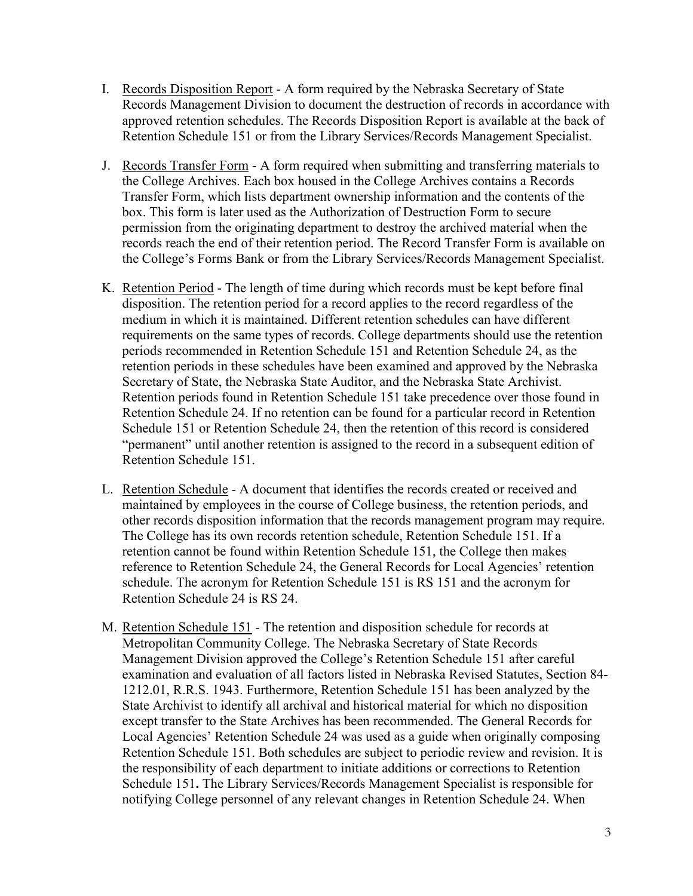- I. Records Disposition Report A form required by the Nebraska Secretary of State Records Management Division to document the destruction of records in accordance with approved retention schedules. The Records Disposition Report is available at the back of Retention Schedule 151 or from the Library Services/Records Management Specialist.
- J. Records Transfer Form A form required when submitting and transferring materials to the College Archives. Each box housed in the College Archives contains a Records Transfer Form, which lists department ownership information and the contents of the box. This form is later used as the Authorization of Destruction Form to secure permission from the originating department to destroy the archived material when the records reach the end of their retention period. The Record Transfer Form is available on the College's Forms Bank or from the Library Services/Records Management Specialist.
- K. Retention Period The length of time during which records must be kept before final disposition. The retention period for a record applies to the record regardless of the medium in which it is maintained. Different retention schedules can have different requirements on the same types of records. College departments should use the retention periods recommended in Retention Schedule 151 and Retention Schedule 24, as the retention periods in these schedules have been examined and approved by the Nebraska Secretary of State, the Nebraska State Auditor, and the Nebraska State Archivist. Retention periods found in Retention Schedule 151 take precedence over those found in Retention Schedule 24. If no retention can be found for a particular record in Retention Schedule 151 or Retention Schedule 24, then the retention of this record is considered "permanent" until another retention is assigned to the record in a subsequent edition of Retention Schedule 151.
- L. Retention Schedule A document that identifies the records created or received and maintained by employees in the course of College business, the retention periods, and other records disposition information that the records management program may require. The College has its own records retention schedule, Retention Schedule 151. If a retention cannot be found within Retention Schedule 151, the College then makes reference to Retention Schedule 24, the General Records for Local Agencies' retention schedule. The acronym for Retention Schedule 151 is RS 151 and the acronym for Retention Schedule 24 is RS 24.
- M. Retention Schedule 151 The retention and disposition schedule for records at Metropolitan Community College. The Nebraska Secretary of State Records Management Division approved the College's Retention Schedule 151 after careful examination and evaluation of all factors listed in Nebraska Revised Statutes, Section 84- 1212.01, R.R.S. 1943. Furthermore, Retention Schedule 151 has been analyzed by the State Archivist to identify all archival and historical material for which no disposition except transfer to the State Archives has been recommended. The General Records for Local Agencies' Retention Schedule 24 was used as a guide when originally composing Retention Schedule 151. Both schedules are subject to periodic review and revision. It is the responsibility of each department to initiate additions or corrections to Retention Schedule 151**.** The Library Services/Records Management Specialist is responsible for notifying College personnel of any relevant changes in Retention Schedule 24. When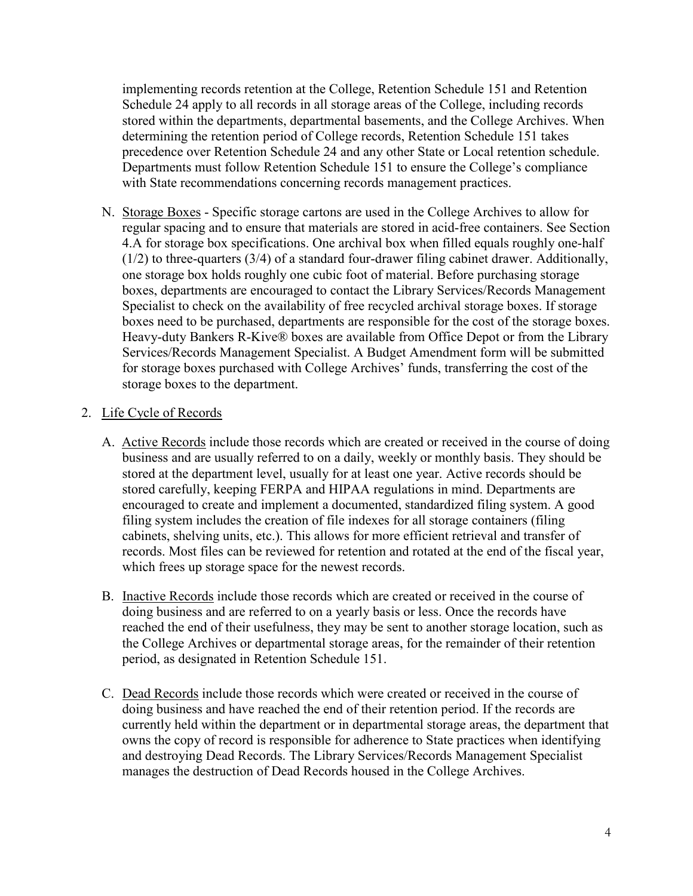implementing records retention at the College, Retention Schedule 151 and Retention Schedule 24 apply to all records in all storage areas of the College, including records stored within the departments, departmental basements, and the College Archives. When determining the retention period of College records, Retention Schedule 151 takes precedence over Retention Schedule 24 and any other State or Local retention schedule. Departments must follow Retention Schedule 151 to ensure the College's compliance with State recommendations concerning records management practices.

N. Storage Boxes - Specific storage cartons are used in the College Archives to allow for regular spacing and to ensure that materials are stored in acid-free containers. See Section 4.A for storage box specifications. One archival box when filled equals roughly one-half (1/2) to three-quarters (3/4) of a standard four-drawer filing cabinet drawer. Additionally, one storage box holds roughly one cubic foot of material. Before purchasing storage boxes, departments are encouraged to contact the Library Services/Records Management Specialist to check on the availability of free recycled archival storage boxes. If storage boxes need to be purchased, departments are responsible for the cost of the storage boxes. Heavy-duty Bankers R-Kive® boxes are available from Office Depot or from the Library Services/Records Management Specialist. A Budget Amendment form will be submitted for storage boxes purchased with College Archives' funds, transferring the cost of the storage boxes to the department.

# 2. Life Cycle of Records

- A. Active Records include those records which are created or received in the course of doing business and are usually referred to on a daily, weekly or monthly basis. They should be stored at the department level, usually for at least one year. Active records should be stored carefully, keeping FERPA and HIPAA regulations in mind. Departments are encouraged to create and implement a documented, standardized filing system. A good filing system includes the creation of file indexes for all storage containers (filing cabinets, shelving units, etc.). This allows for more efficient retrieval and transfer of records. Most files can be reviewed for retention and rotated at the end of the fiscal year, which frees up storage space for the newest records.
- B. Inactive Records include those records which are created or received in the course of doing business and are referred to on a yearly basis or less. Once the records have reached the end of their usefulness, they may be sent to another storage location, such as the College Archives or departmental storage areas, for the remainder of their retention period, as designated in Retention Schedule 151.
- C. Dead Records include those records which were created or received in the course of doing business and have reached the end of their retention period. If the records are currently held within the department or in departmental storage areas, the department that owns the copy of record is responsible for adherence to State practices when identifying and destroying Dead Records. The Library Services/Records Management Specialist manages the destruction of Dead Records housed in the College Archives.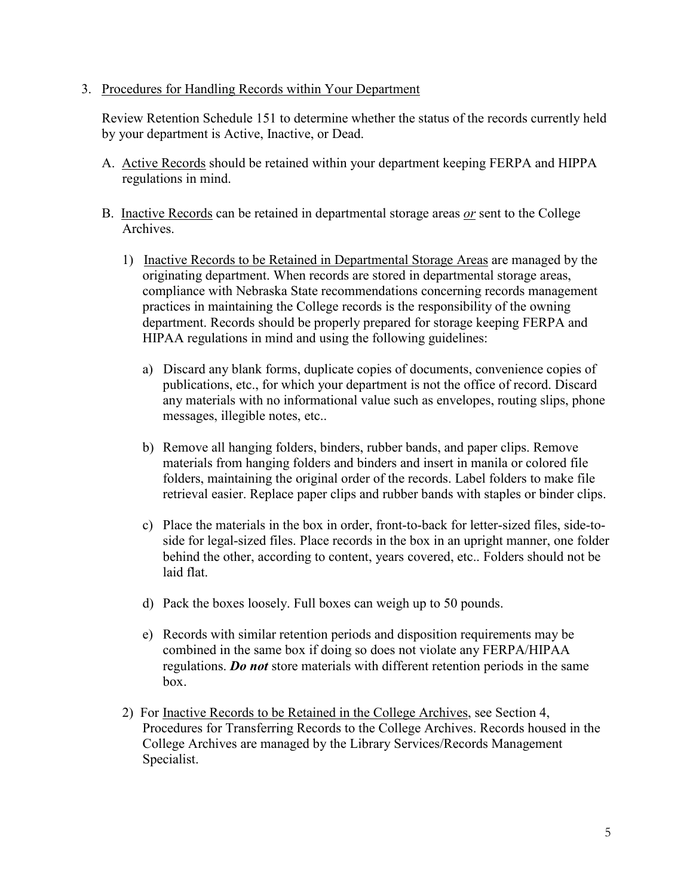### 3. Procedures for Handling Records within Your Department

Review Retention Schedule 151 to determine whether the status of the records currently held by your department is Active, Inactive, or Dead.

- A. Active Records should be retained within your department keeping FERPA and HIPPA regulations in mind.
- B. Inactive Records can be retained in departmental storage areas *or* sent to the College Archives.
	- 1) Inactive Records to be Retained in Departmental Storage Areas are managed by the originating department. When records are stored in departmental storage areas, compliance with Nebraska State recommendations concerning records management practices in maintaining the College records is the responsibility of the owning department. Records should be properly prepared for storage keeping FERPA and HIPAA regulations in mind and using the following guidelines:
		- a) Discard any blank forms, duplicate copies of documents, convenience copies of publications, etc., for which your department is not the office of record. Discard any materials with no informational value such as envelopes, routing slips, phone messages, illegible notes, etc..
		- b) Remove all hanging folders, binders, rubber bands, and paper clips. Remove materials from hanging folders and binders and insert in manila or colored file folders, maintaining the original order of the records. Label folders to make file retrieval easier. Replace paper clips and rubber bands with staples or binder clips.
		- c) Place the materials in the box in order, front-to-back for letter-sized files, side-toside for legal-sized files. Place records in the box in an upright manner, one folder behind the other, according to content, years covered, etc.. Folders should not be laid flat.
		- d) Pack the boxes loosely. Full boxes can weigh up to 50 pounds.
		- e) Records with similar retention periods and disposition requirements may be combined in the same box if doing so does not violate any FERPA/HIPAA regulations. *Do not* store materials with different retention periods in the same box.
	- 2) For Inactive Records to be Retained in the College Archives, see Section 4, Procedures for Transferring Records to the College Archives. Records housed in the College Archives are managed by the Library Services/Records Management Specialist.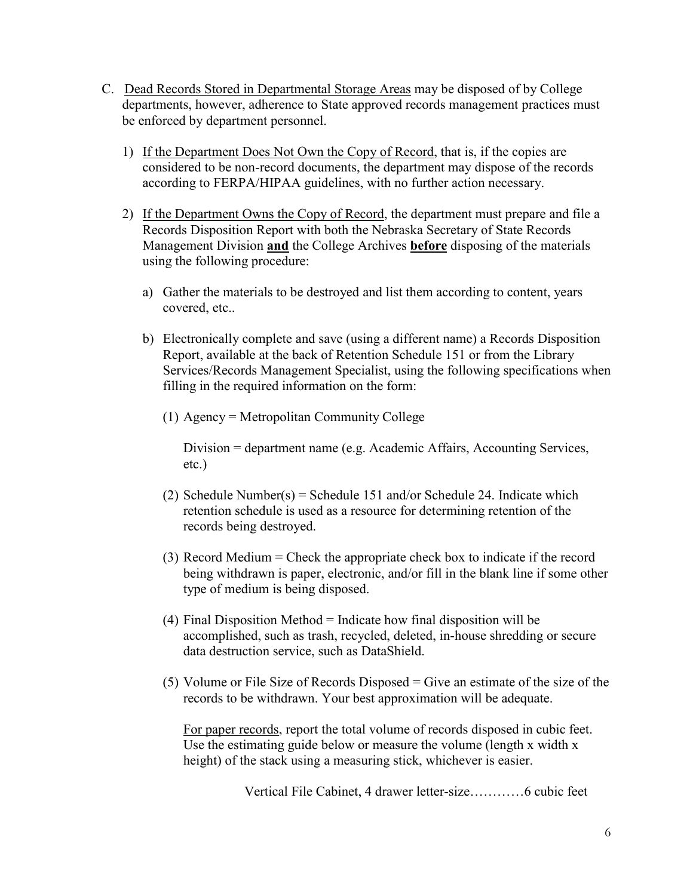- C. Dead Records Stored in Departmental Storage Areas may be disposed of by College departments, however, adherence to State approved records management practices must be enforced by department personnel.
	- 1) If the Department Does Not Own the Copy of Record, that is, if the copies are considered to be non-record documents, the department may dispose of the records according to FERPA/HIPAA guidelines, with no further action necessary.
	- 2) If the Department Owns the Copy of Record, the department must prepare and file a Records Disposition Report with both the Nebraska Secretary of State Records Management Division **and** the College Archives **before** disposing of the materials using the following procedure:
		- a) Gather the materials to be destroyed and list them according to content, years covered, etc..
		- b) Electronically complete and save (using a different name) a Records Disposition Report, available at the back of Retention Schedule 151 or from the Library Services/Records Management Specialist, using the following specifications when filling in the required information on the form:
			- (1) Agency = Metropolitan Community College

Division = department name (e.g. Academic Affairs, Accounting Services, etc.)

- (2) Schedule Number(s) = Schedule 151 and/or Schedule 24. Indicate which retention schedule is used as a resource for determining retention of the records being destroyed.
- (3) Record Medium = Check the appropriate check box to indicate if the record being withdrawn is paper, electronic, and/or fill in the blank line if some other type of medium is being disposed.
- $(4)$  Final Disposition Method = Indicate how final disposition will be accomplished, such as trash, recycled, deleted, in-house shredding or secure data destruction service, such as DataShield.
- (5) Volume or File Size of Records Disposed = Give an estimate of the size of the records to be withdrawn. Your best approximation will be adequate.

For paper records, report the total volume of records disposed in cubic feet. Use the estimating guide below or measure the volume (length x width x height) of the stack using a measuring stick, whichever is easier.

Vertical File Cabinet, 4 drawer letter-size…………6 cubic feet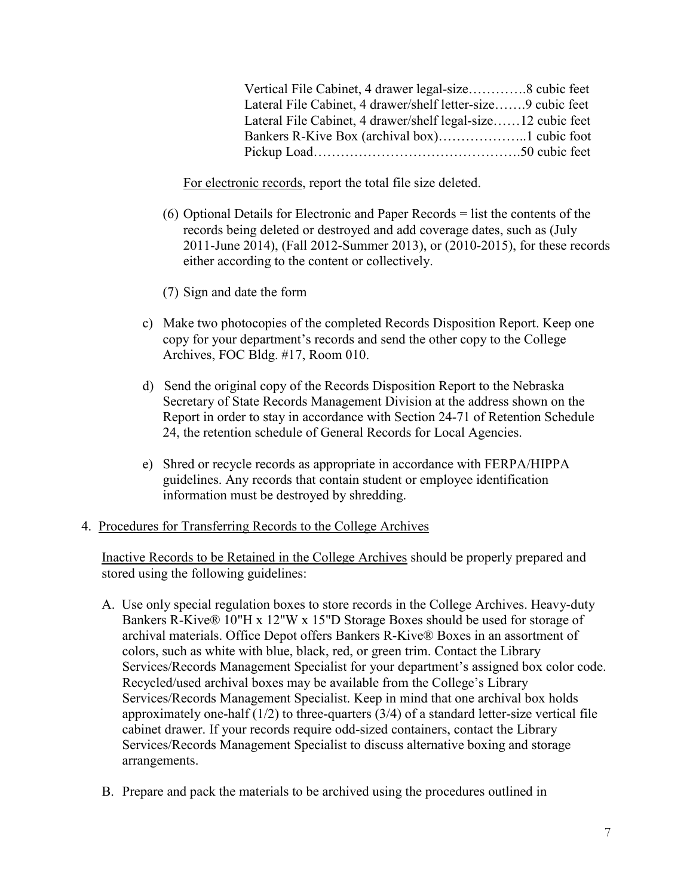| Vertical File Cabinet, 4 drawer legal-size8 cubic feet       |  |
|--------------------------------------------------------------|--|
| Lateral File Cabinet, 4 drawer/shelf letter-size9 cubic feet |  |
| Lateral File Cabinet, 4 drawer/shelf legal-size12 cubic feet |  |
|                                                              |  |
|                                                              |  |

For electronic records, report the total file size deleted.

- (6) Optional Details for Electronic and Paper Records = list the contents of the records being deleted or destroyed and add coverage dates, such as (July 2011-June 2014), (Fall 2012-Summer 2013), or (2010-2015), for these records either according to the content or collectively.
- (7) Sign and date the form
- c) Make two photocopies of the completed Records Disposition Report. Keep one copy for your department's records and send the other copy to the College Archives, FOC Bldg. #17, Room 010.
- d) Send the original copy of the Records Disposition Report to the Nebraska Secretary of State Records Management Division at the address shown on the Report in order to stay in accordance with Section 24-71 of Retention Schedule 24, the retention schedule of General Records for Local Agencies.
- e) Shred or recycle records as appropriate in accordance with FERPA/HIPPA guidelines. Any records that contain student or employee identification information must be destroyed by shredding.

### 4. Procedures for Transferring Records to the College Archives

Inactive Records to be Retained in the College Archives should be properly prepared and stored using the following guidelines:

- A. Use only special regulation boxes to store records in the College Archives. Heavy-duty Bankers R-Kive® 10"H x 12"W x 15"D Storage Boxes should be used for storage of archival materials. Office Depot offers Bankers R-Kive® Boxes in an assortment of colors, such as white with blue, black, red, or green trim. Contact the Library Services/Records Management Specialist for your department's assigned box color code. Recycled/used archival boxes may be available from the College's Library Services/Records Management Specialist. Keep in mind that one archival box holds approximately one-half  $(1/2)$  to three-quarters  $(3/4)$  of a standard letter-size vertical file cabinet drawer. If your records require odd-sized containers, contact the Library Services/Records Management Specialist to discuss alternative boxing and storage arrangements.
- B. Prepare and pack the materials to be archived using the procedures outlined in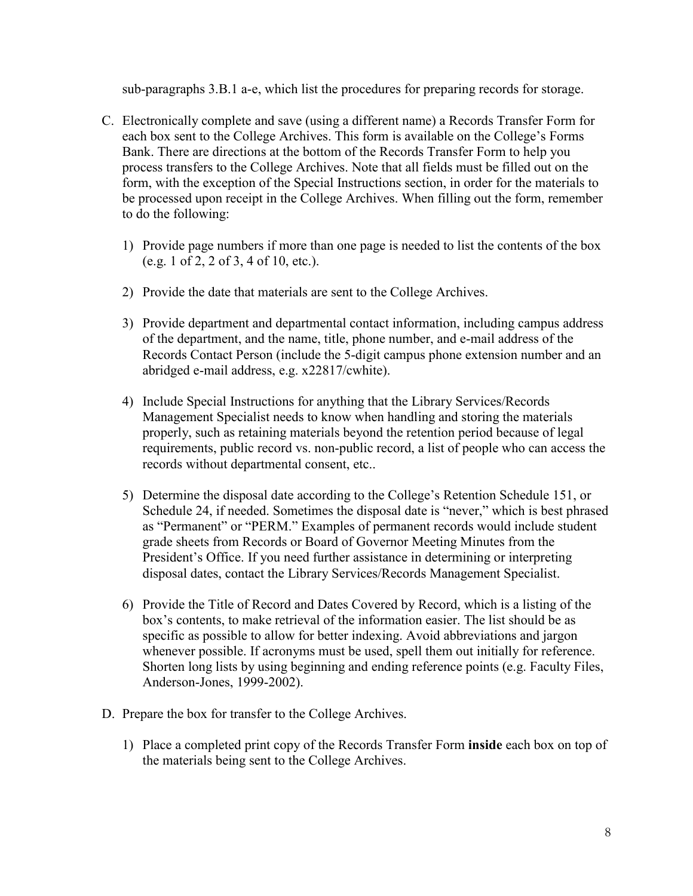sub-paragraphs 3.B.1 a-e, which list the procedures for preparing records for storage.

- C. Electronically complete and save (using a different name) a Records Transfer Form for each box sent to the College Archives. This form is available on the College's Forms Bank. There are directions at the bottom of the Records Transfer Form to help you process transfers to the College Archives. Note that all fields must be filled out on the form, with the exception of the Special Instructions section, in order for the materials to be processed upon receipt in the College Archives. When filling out the form, remember to do the following:
	- 1) Provide page numbers if more than one page is needed to list the contents of the box (e.g. 1 of 2, 2 of 3, 4 of 10, etc.).
	- 2) Provide the date that materials are sent to the College Archives.
	- 3) Provide department and departmental contact information, including campus address of the department, and the name, title, phone number, and e-mail address of the Records Contact Person (include the 5-digit campus phone extension number and an abridged e-mail address, e.g. x22817/cwhite).
	- 4) Include Special Instructions for anything that the Library Services/Records Management Specialist needs to know when handling and storing the materials properly, such as retaining materials beyond the retention period because of legal requirements, public record vs. non-public record, a list of people who can access the records without departmental consent, etc..
	- 5) Determine the disposal date according to the College's Retention Schedule 151, or Schedule 24, if needed. Sometimes the disposal date is "never," which is best phrased as "Permanent" or "PERM." Examples of permanent records would include student grade sheets from Records or Board of Governor Meeting Minutes from the President's Office. If you need further assistance in determining or interpreting disposal dates, contact the Library Services/Records Management Specialist.
	- 6) Provide the Title of Record and Dates Covered by Record, which is a listing of the box's contents, to make retrieval of the information easier. The list should be as specific as possible to allow for better indexing. Avoid abbreviations and jargon whenever possible. If acronyms must be used, spell them out initially for reference. Shorten long lists by using beginning and ending reference points (e.g. Faculty Files, Anderson-Jones, 1999-2002).
- D. Prepare the box for transfer to the College Archives.
	- 1) Place a completed print copy of the Records Transfer Form **inside** each box on top of the materials being sent to the College Archives.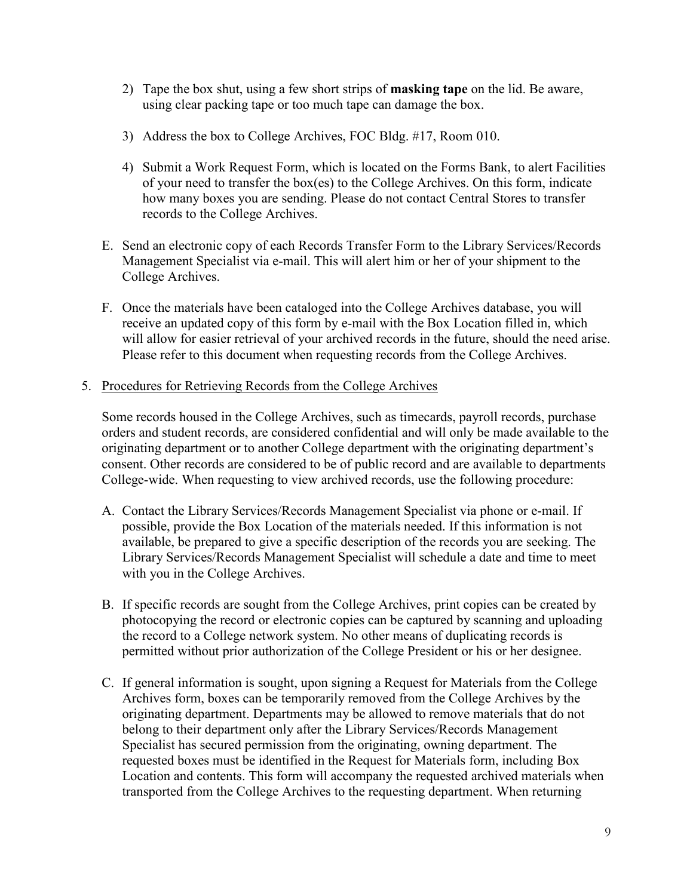- 2) Tape the box shut, using a few short strips of **masking tape** on the lid. Be aware, using clear packing tape or too much tape can damage the box.
- 3) Address the box to College Archives, FOC Bldg. #17, Room 010.
- 4) Submit a Work Request Form, which is located on the Forms Bank, to alert Facilities of your need to transfer the box(es) to the College Archives. On this form, indicate how many boxes you are sending. Please do not contact Central Stores to transfer records to the College Archives.
- E. Send an electronic copy of each Records Transfer Form to the Library Services/Records Management Specialist via e-mail. This will alert him or her of your shipment to the College Archives.
- F. Once the materials have been cataloged into the College Archives database, you will receive an updated copy of this form by e-mail with the Box Location filled in, which will allow for easier retrieval of your archived records in the future, should the need arise. Please refer to this document when requesting records from the College Archives.
- 5. Procedures for Retrieving Records from the College Archives

Some records housed in the College Archives, such as timecards, payroll records, purchase orders and student records, are considered confidential and will only be made available to the originating department or to another College department with the originating department's consent. Other records are considered to be of public record and are available to departments College-wide. When requesting to view archived records, use the following procedure:

- A. Contact the Library Services/Records Management Specialist via phone or e-mail. If possible, provide the Box Location of the materials needed. If this information is not available, be prepared to give a specific description of the records you are seeking. The Library Services/Records Management Specialist will schedule a date and time to meet with you in the College Archives.
- B. If specific records are sought from the College Archives, print copies can be created by photocopying the record or electronic copies can be captured by scanning and uploading the record to a College network system. No other means of duplicating records is permitted without prior authorization of the College President or his or her designee.
- C. If general information is sought, upon signing a Request for Materials from the College Archives form, boxes can be temporarily removed from the College Archives by the originating department. Departments may be allowed to remove materials that do not belong to their department only after the Library Services/Records Management Specialist has secured permission from the originating, owning department. The requested boxes must be identified in the Request for Materials form, including Box Location and contents. This form will accompany the requested archived materials when transported from the College Archives to the requesting department. When returning